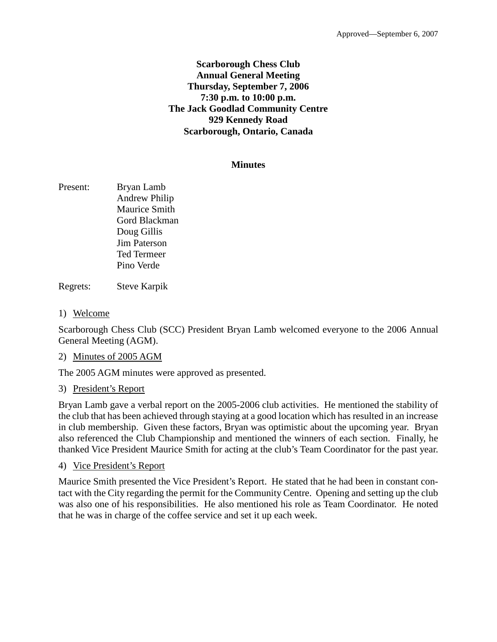### **Scarborough Chess Club Annual General Meeting Thursday, September 7, 2006 7:30 p.m. to 10:00 p.m. The Jack Goodlad Community Centre 929 Kennedy Road Scarborough, Ontario, Canada**

#### **Minutes**

Present: Bryan Lamb Andrew Philip Maurice Smith Gord Blackman Doug Gillis Jim Paterson Ted Termeer Pino Verde

Regrets: Steve Karpik

1) Welcome

Scarborough Chess Club (SCC) President Bryan Lamb welcomed everyone to the 2006 Annual General Meeting (AGM).

2) Minutes of 2005 AGM

The 2005 AGM minutes were approved as presented.

3) President's Report

Bryan Lamb gave a verbal report on the 2005-2006 club activities. He mentioned the stability of the club that has been achieved through staying at a good location which has resulted in an increase in club membership. Given these factors, Bryan was optimistic about the upcoming year. Bryan also referenced the Club Championship and mentioned the winners of each section. Finally, he thanked Vice President Maurice Smith for acting at the club's Team Coordinator for the past year.

4) Vice President's Report

Maurice Smith presented the Vice President's Report. He stated that he had been in constant contact with the City regarding the permit for the Community Centre. Opening and setting up the club was also one of his responsibilities. He also mentioned his role as Team Coordinator. He noted that he was in charge of the coffee service and set it up each week.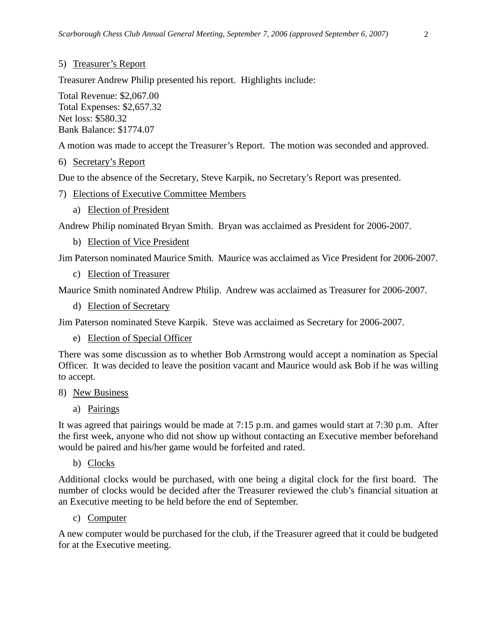# 5) Treasurer's Report

Treasurer Andrew Philip presented his report. Highlights include:

Total Revenue: \$2,067.00 Total Expenses: \$2,657.32 Net loss: \$580.32 Bank Balance: \$1774.07

A motion was made to accept the Treasurer's Report. The motion was seconded and approved.

#### 6) Secretary's Report

Due to the absence of the Secretary, Steve Karpik, no Secretary's Report was presented.

- 7) Elections of Executive Committee Members
	- a) Election of President

Andrew Philip nominated Bryan Smith. Bryan was acclaimed as President for 2006-2007.

b) Election of Vice President

Jim Paterson nominated Maurice Smith. Maurice was acclaimed as Vice President for 2006-2007.

c) Election of Treasurer

Maurice Smith nominated Andrew Philip. Andrew was acclaimed as Treasurer for 2006-2007.

d) Election of Secretary

Jim Paterson nominated Steve Karpik. Steve was acclaimed as Secretary for 2006-2007.

e) Election of Special Officer

There was some discussion as to whether Bob Armstrong would accept a nomination as Special Officer. It was decided to leave the position vacant and Maurice would ask Bob if he was willing to accept.

- 8) New Business
	- a) Pairings

It was agreed that pairings would be made at 7:15 p.m. and games would start at 7:30 p.m. After the first week, anyone who did not show up without contacting an Executive member beforehand would be paired and his/her game would be forfeited and rated.

b) Clocks

Additional clocks would be purchased, with one being a digital clock for the first board. The number of clocks would be decided after the Treasurer reviewed the club's financial situation at an Executive meeting to be held before the end of September.

c) Computer

A new computer would be purchased for the club, if the Treasurer agreed that it could be budgeted for at the Executive meeting.